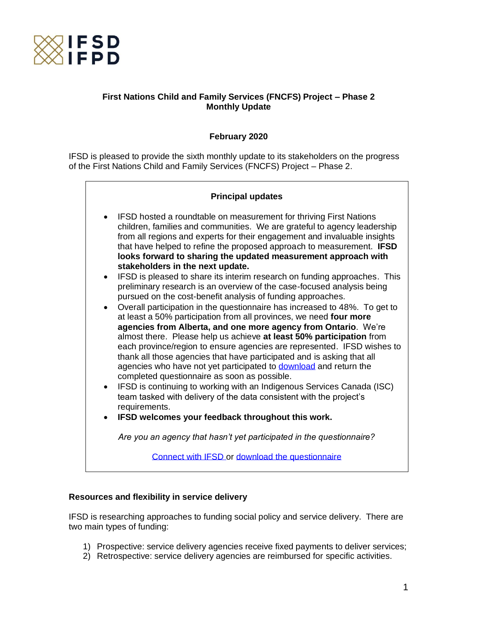

## **First Nations Child and Family Services (FNCFS) Project – Phase 2 Monthly Update**

### **February 2020**

IFSD is pleased to provide the sixth monthly update to its stakeholders on the progress of the First Nations Child and Family Services (FNCFS) Project – Phase 2.



#### **Resources and flexibility in service delivery**

IFSD is researching approaches to funding social policy and service delivery. There are two main types of funding:

- 1) Prospective: service delivery agencies receive fixed payments to deliver services;
- 2) Retrospective: service delivery agencies are reimbursed for specific activities.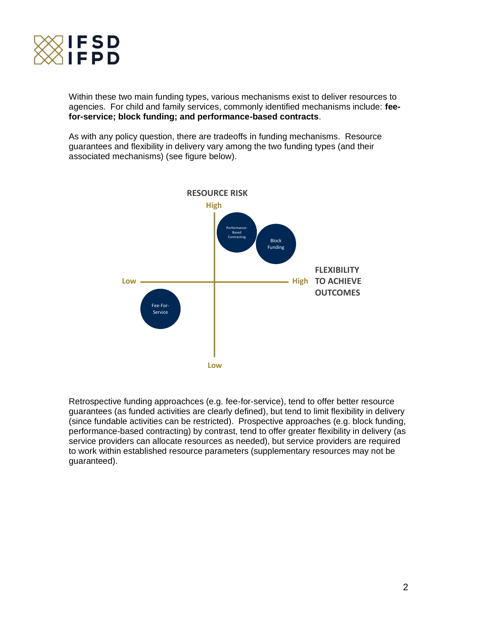

Within these two main funding types, various mechanisms exist to deliver resources to agencies. For child and family services, commonly identified mechanisms include: **feefor-service; block funding; and performance-based contracts**.

As with any policy question, there are tradeoffs in funding mechanisms. Resource guarantees and flexibility in delivery vary among the two funding types (and their associated mechanisms) (see figure below).



Retrospective funding approachces (e.g. fee-for-service), tend to offer better resource guarantees (as funded activities are clearly defined), but tend to limit flexibility in delivery (since fundable activities can be restricted). Prospective approaches (e.g. block funding, performance-based contracting) by contrast, tend to offer greater flexibility in delivery (as service providers can allocate resources as needed), but service providers are required to work within established resource parameters (supplementary resources may not be guaranteed).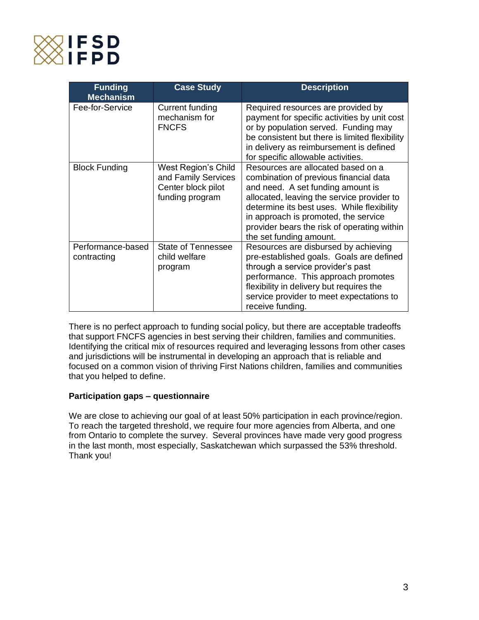

| <b>Funding</b><br><b>Mechanism</b> | <b>Case Study</b>                                                                   | <b>Description</b>                                                                                                                                                                                                                                                                                                              |
|------------------------------------|-------------------------------------------------------------------------------------|---------------------------------------------------------------------------------------------------------------------------------------------------------------------------------------------------------------------------------------------------------------------------------------------------------------------------------|
| Fee-for-Service                    | Current funding<br>mechanism for<br><b>FNCFS</b>                                    | Required resources are provided by<br>payment for specific activities by unit cost<br>or by population served. Funding may<br>be consistent but there is limited flexibility<br>in delivery as reimbursement is defined<br>for specific allowable activities.                                                                   |
| <b>Block Funding</b>               | West Region's Child<br>and Family Services<br>Center block pilot<br>funding program | Resources are allocated based on a<br>combination of previous financial data<br>and need. A set funding amount is<br>allocated, leaving the service provider to<br>determine its best uses. While flexibility<br>in approach is promoted, the service<br>provider bears the risk of operating within<br>the set funding amount. |
| Performance-based<br>contracting   | <b>State of Tennessee</b><br>child welfare<br>program                               | Resources are disbursed by achieving<br>pre-established goals. Goals are defined<br>through a service provider's past<br>performance. This approach promotes<br>flexibility in delivery but requires the<br>service provider to meet expectations to<br>receive funding.                                                        |

There is no perfect approach to funding social policy, but there are acceptable tradeoffs that support FNCFS agencies in best serving their children, families and communities. Identifying the critical mix of resources required and leveraging lessons from other cases and jurisdictions will be instrumental in developing an approach that is reliable and focused on a common vision of thriving First Nations children, families and communities that you helped to define.

## **Participation gaps – questionnaire**

We are close to achieving our goal of at least 50% participation in each province/region. To reach the targeted threshold, we require four more agencies from Alberta, and one from Ontario to complete the survey. Several provinces have made very good progress in the last month, most especially, Saskatchewan which surpassed the 53% threshold. Thank you!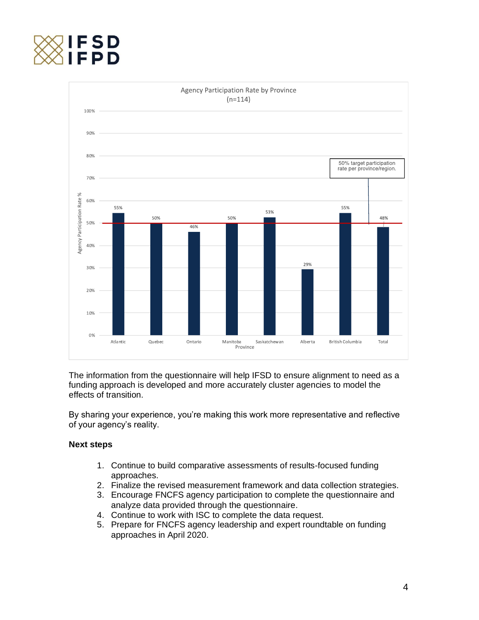



The information from the questionnaire will help IFSD to ensure alignment to need as a funding approach is developed and more accurately cluster agencies to model the effects of transition.

By sharing your experience, you're making this work more representative and reflective of your agency's reality.

#### **Next steps**

- 1. Continue to build comparative assessments of results-focused funding approaches.
- 2. Finalize the revised measurement framework and data collection strategies.
- 3. Encourage FNCFS agency participation to complete the questionnaire and analyze data provided through the questionnaire.
- 4. Continue to work with ISC to complete the data request.
- 5. Prepare for FNCFS agency leadership and expert roundtable on funding approaches in April 2020.